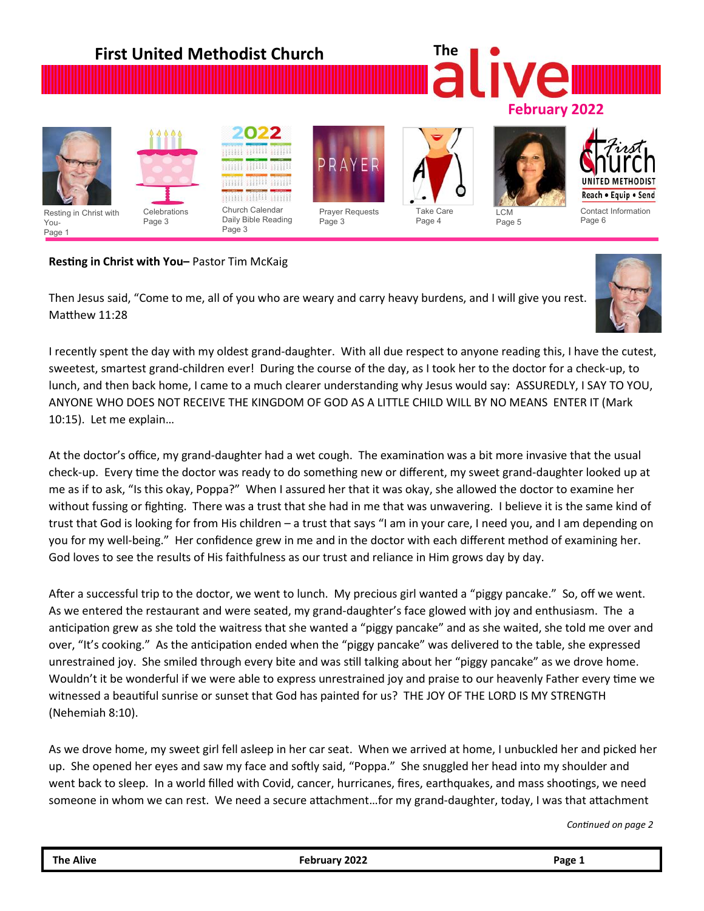

# **Resting in Christ with You–** Pastor Tim McKaig

Then Jesus said, "Come to me, all of you who are weary and carry heavy burdens, and I will give you rest. Matthew 11:28



I recently spent the day with my oldest grand-daughter. With all due respect to anyone reading this, I have the cutest, sweetest, smartest grand-children ever! During the course of the day, as I took her to the doctor for a check-up, to lunch, and then back home, I came to a much clearer understanding why Jesus would say: ASSUREDLY, I SAY TO YOU, ANYONE WHO DOES NOT RECEIVE THE KINGDOM OF GOD AS A LITTLE CHILD WILL BY NO MEANS ENTER IT (Mark 10:15). Let me explain…

At the doctor's office, my grand-daughter had a wet cough. The examination was a bit more invasive that the usual check-up. Every time the doctor was ready to do something new or different, my sweet grand-daughter looked up at me as if to ask, "Is this okay, Poppa?" When I assured her that it was okay, she allowed the doctor to examine her without fussing or fighting. There was a trust that she had in me that was unwavering. I believe it is the same kind of trust that God is looking for from His children – a trust that says "I am in your care, I need you, and I am depending on you for my well-being." Her confidence grew in me and in the doctor with each different method of examining her. God loves to see the results of His faithfulness as our trust and reliance in Him grows day by day.

After a successful trip to the doctor, we went to lunch. My precious girl wanted a "piggy pancake." So, off we went. As we entered the restaurant and were seated, my grand-daughter's face glowed with joy and enthusiasm. The a anticipation grew as she told the waitress that she wanted a "piggy pancake" and as she waited, she told me over and over, "It's cooking." As the anticipation ended when the "piggy pancake" was delivered to the table, she expressed unrestrained joy. She smiled through every bite and was still talking about her "piggy pancake" as we drove home. Wouldn't it be wonderful if we were able to express unrestrained joy and praise to our heavenly Father every time we witnessed a beautiful sunrise or sunset that God has painted for us? THE JOY OF THE LORD IS MY STRENGTH (Nehemiah 8:10).

As we drove home, my sweet girl fell asleep in her car seat. When we arrived at home, I unbuckled her and picked her up. She opened her eyes and saw my face and softly said, "Poppa." She snuggled her head into my shoulder and went back to sleep. In a world filled with Covid, cancer, hurricanes, fires, earthquakes, and mass shootings, we need someone in whom we can rest. We need a secure attachment…for my grand-daughter, today, I was that attachment

*Continued on page 2*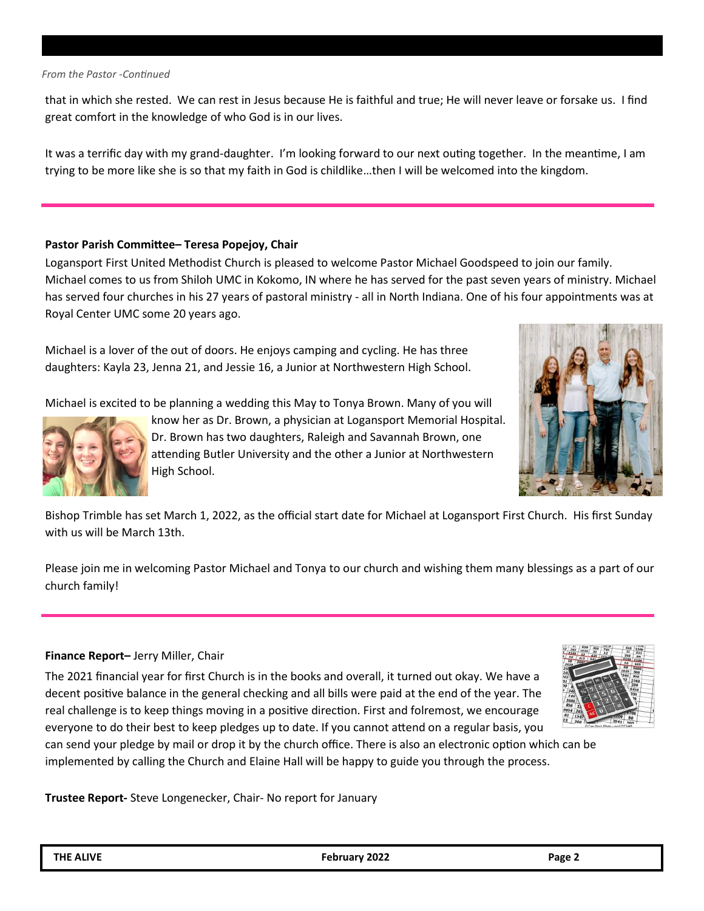#### *From the Pastor -Continued*

that in which she rested. We can rest in Jesus because He is faithful and true; He will never leave or forsake us. I find great comfort in the knowledge of who God is in our lives.

It was a terrific day with my grand-daughter. I'm looking forward to our next outing together. In the meantime, I am trying to be more like she is so that my faith in God is childlike…then I will be welcomed into the kingdom.

#### **Pastor Parish Committee– Teresa Popejoy, Chair**

Logansport First United Methodist Church is pleased to welcome Pastor Michael Goodspeed to join our family. Michael comes to us from Shiloh UMC in Kokomo, IN where he has served for the past seven years of ministry. Michael has served four churches in his 27 years of pastoral ministry - all in North Indiana. One of his four appointments was at Royal Center UMC some 20 years ago.

Michael is a lover of the out of doors. He enjoys camping and cycling. He has three daughters: Kayla 23, Jenna 21, and Jessie 16, a Junior at Northwestern High School.

Michael is excited to be planning a wedding this May to Tonya Brown. Many of you will



know her as Dr. Brown, a physician at Logansport Memorial Hospital. Dr. Brown has two daughters, Raleigh and Savannah Brown, one attending Butler University and the other a Junior at Northwestern High School.



Bishop Trimble has set March 1, 2022, as the official start date for Michael at Logansport First Church. His first Sunday with us will be March 13th.

Please join me in welcoming Pastor Michael and Tonya to our church and wishing them many blessings as a part of our church family!

#### **Finance Report–** Jerry Miller, Chair

The 2021 financial year for first Church is in the books and overall, it turned out okay. We have a decent positive balance in the general checking and all bills were paid at the end of the year. The real challenge is to keep things moving in a positive direction. First and folremost, we encourage everyone to do their best to keep pledges up to date. If you cannot attend on a regular basis, you



can send your pledge by mail or drop it by the church office. There is also an electronic option which can be implemented by calling the Church and Elaine Hall will be happy to guide you through the process.

**Trustee Report-** Steve Longenecker, Chair- No report for January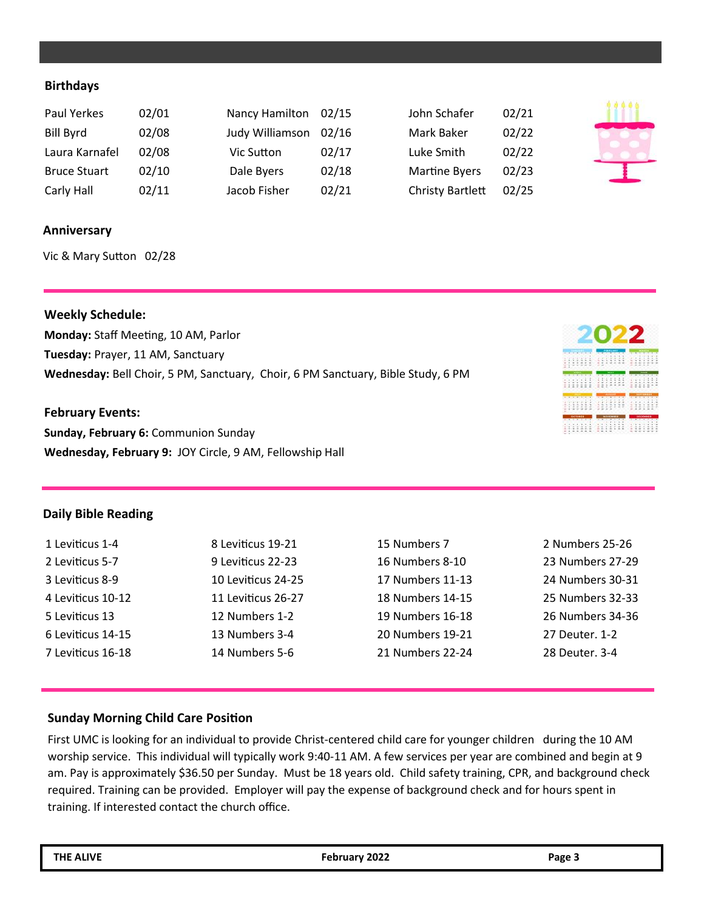## **Birthdays**

| Paul Yerkes         | 02/01 | Nancy Hamilton 02/15 |       | John Schafer            | 02/21 |
|---------------------|-------|----------------------|-------|-------------------------|-------|
| Bill Byrd           | 02/08 | Judy Williamson      | 02/16 | Mark Baker              | 02/22 |
| Laura Karnafel      | 02/08 | Vic Sutton           | 02/17 | Luke Smith              | 02/22 |
| <b>Bruce Stuart</b> | 02/10 | Dale Byers           | 02/18 | <b>Martine Byers</b>    | 02/23 |
| Carly Hall          | 02/11 | Jacob Fisher         | 02/21 | <b>Christy Bartlett</b> | 02/25 |

#### **Anniversary**

Vic & Mary Sutton 02/28

#### **Weekly Schedule:**

**Monday:** Staff Meeting, 10 AM, Parlor **Tuesday:** Prayer, 11 AM, Sanctuary **Wednesday:** Bell Choir, 5 PM, Sanctuary, Choir, 6 PM Sanctuary, Bible Study, 6 PM

#### **February Events:**

**Sunday, February 6:** Communion Sunday **Wednesday, February 9:** JOY Circle, 9 AM, Fellowship Hall

# <u>umi milli mil</u>l <u> 111111 111111 111111</u> HIIII HIIIII HIIII mini nilill milli

#### **Daily Bible Reading**

| 1 Leviticus 1-4   | 8 Leviticus 19-21  | 15 Numbers 7     | 2 Numbers 25-26  |
|-------------------|--------------------|------------------|------------------|
| 2 Leviticus 5-7   | 9 Leviticus 22-23  | 16 Numbers 8-10  | 23 Numbers 27-29 |
| 3 Leviticus 8-9   | 10 Leviticus 24-25 | 17 Numbers 11-13 | 24 Numbers 30-31 |
| 4 Leviticus 10-12 | 11 Leviticus 26-27 | 18 Numbers 14-15 | 25 Numbers 32-33 |
| 5 Leviticus 13    | 12 Numbers 1-2     | 19 Numbers 16-18 | 26 Numbers 34-36 |
| 6 Leviticus 14-15 | 13 Numbers 3-4     | 20 Numbers 19-21 | 27 Deuter, 1-2   |
| 7 Leviticus 16-18 | 14 Numbers 5-6     | 21 Numbers 22-24 | 28 Deuter, 3-4   |
|                   |                    |                  |                  |

# **Sunday Morning Child Care Position**

First UMC is looking for an individual to provide Christ-centered child care for younger children during the 10 AM worship service. This individual will typically work 9:40-11 AM. A few services per year are combined and begin at 9 am. Pay is approximately \$36.50 per Sunday. Must be 18 years old. Child safety training, CPR, and background check required. Training can be provided. Employer will pay the expense of background check and for hours spent in training. If interested contact the church office.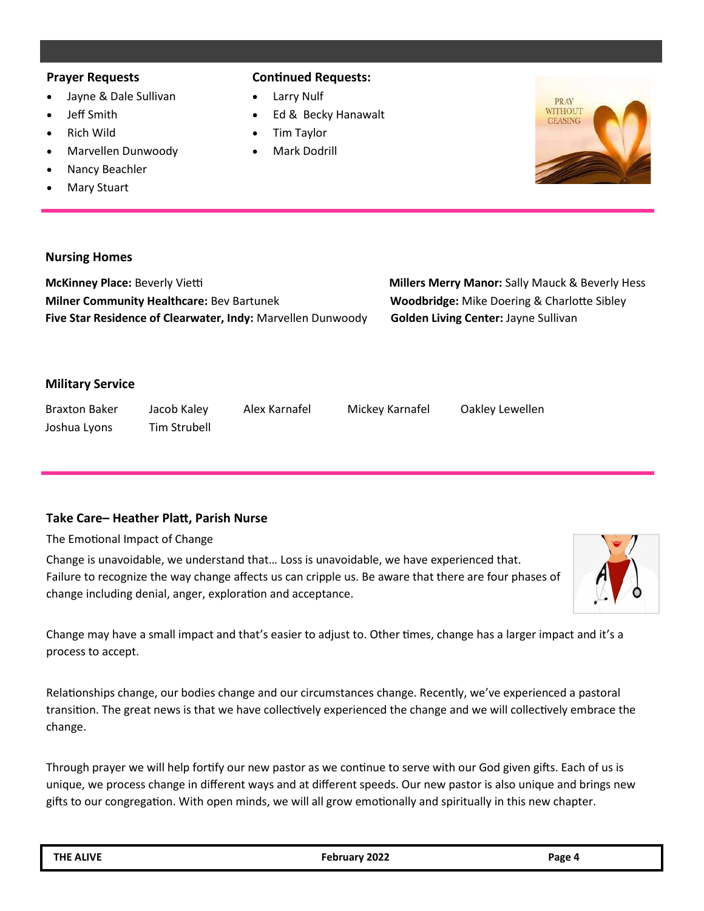#### **Prayer Requests**

- Jayne & Dale Sullivan
- Jeff Smith
- Rich Wild
- Marvellen Dunwoody
- Nancy Beachler
- **Mary Stuart**

# **Continued Requests:**

- Larry Nulf
- Ed & Becky Hanawalt
- Tim Taylor
- Mark Dodrill



## **Nursing Homes**

**McKinney Place:** Beverly Vietti **Millers Merry Manor:** Sally Mauck & Beverly Hess **Milner Community Healthcare:** Bev Bartunek **Woodbridge:** Mike Doering & Charlotte Sibley **Five Star Residence of Clearwater, Indy:** Marvellen Dunwoody **Golden Living Center:** Jayne Sullivan

# **Military Service**

Braxton Baker Jacob Kaley Alex Karnafel Mickey Karnafel Oakley Lewellen Joshua Lyons Tim Strubell

# **Take Care– Heather Platt, Parish Nurse**

The Emotional Impact of Change

Change is unavoidable, we understand that… Loss is unavoidable, we have experienced that. Failure to recognize the way change affects us can cripple us. Be aware that there are four phases of change including denial, anger, exploration and acceptance.



Change may have a small impact and that's easier to adjust to. Other times, change has a larger impact and it's a process to accept.

Relationships change, our bodies change and our circumstances change. Recently, we've experienced a pastoral transition. The great news is that we have collectively experienced the change and we will collectively embrace the change.

Through prayer we will help fortify our new pastor as we continue to serve with our God given gifts. Each of us is unique, we process change in different ways and at different speeds. Our new pastor is also unique and brings new gifts to our congregation. With open minds, we will all grow emotionally and spiritually in this new chapter.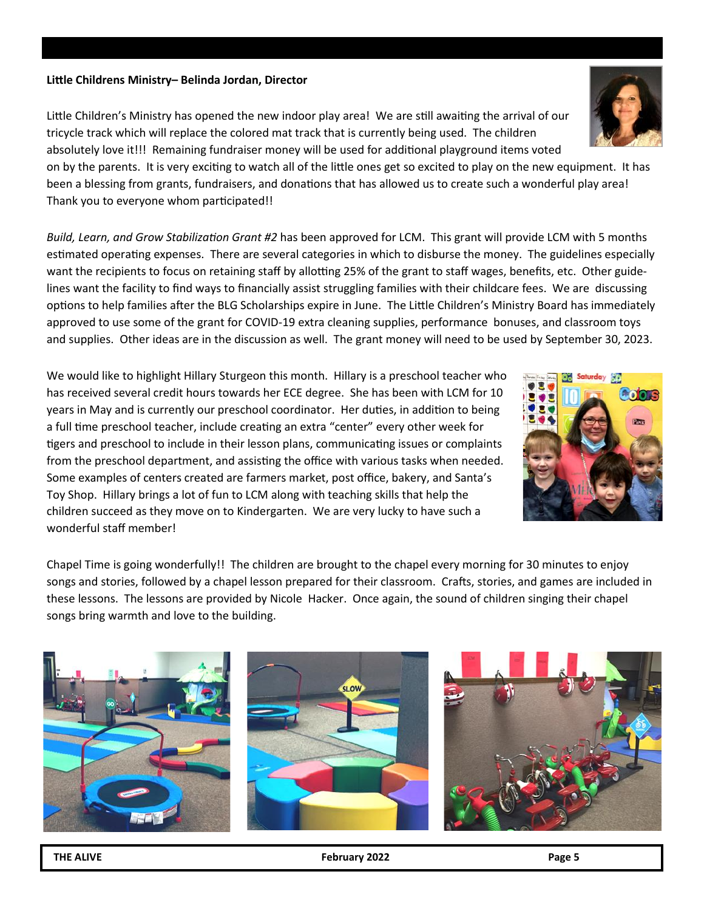#### **Little Childrens Ministry– Belinda Jordan, Director**

Little Children's Ministry has opened the new indoor play area! We are still awaiting the arrival of our tricycle track which will replace the colored mat track that is currently being used. The children absolutely love it!!! Remaining fundraiser money will be used for additional playground items voted

on by the parents. It is very exciting to watch all of the little ones get so excited to play on the new equipment. It has been a blessing from grants, fundraisers, and donations that has allowed us to create such a wonderful play area! Thank you to everyone whom participated!!

*Build, Learn, and Grow Stabilization Grant #2* has been approved for LCM. This grant will provide LCM with 5 months estimated operating expenses. There are several categories in which to disburse the money. The guidelines especially want the recipients to focus on retaining staff by allotting 25% of the grant to staff wages, benefits, etc. Other guidelines want the facility to find ways to financially assist struggling families with their childcare fees. We are discussing options to help families after the BLG Scholarships expire in June. The Little Children's Ministry Board has immediately approved to use some of the grant for COVID-19 extra cleaning supplies, performance bonuses, and classroom toys and supplies. Other ideas are in the discussion as well. The grant money will need to be used by September 30, 2023.

We would like to highlight Hillary Sturgeon this month. Hillary is a preschool teacher who has received several credit hours towards her ECE degree. She has been with LCM for 10 years in May and is currently our preschool coordinator. Her duties, in addition to being a full time preschool teacher, include creating an extra "center" every other week for tigers and preschool to include in their lesson plans, communicating issues or complaints from the preschool department, and assisting the office with various tasks when needed. Some examples of centers created are farmers market, post office, bakery, and Santa's Toy Shop. Hillary brings a lot of fun to LCM along with teaching skills that help the children succeed as they move on to Kindergarten. We are very lucky to have such a wonderful staff member!

Chapel Time is going wonderfully!! The children are brought to the chapel every morning for 30 minutes to enjoy songs and stories, followed by a chapel lesson prepared for their classroom. Crafts, stories, and games are included in these lessons. The lessons are provided by Nicole Hacker. Once again, the sound of children singing their chapel songs bring warmth and love to the building.